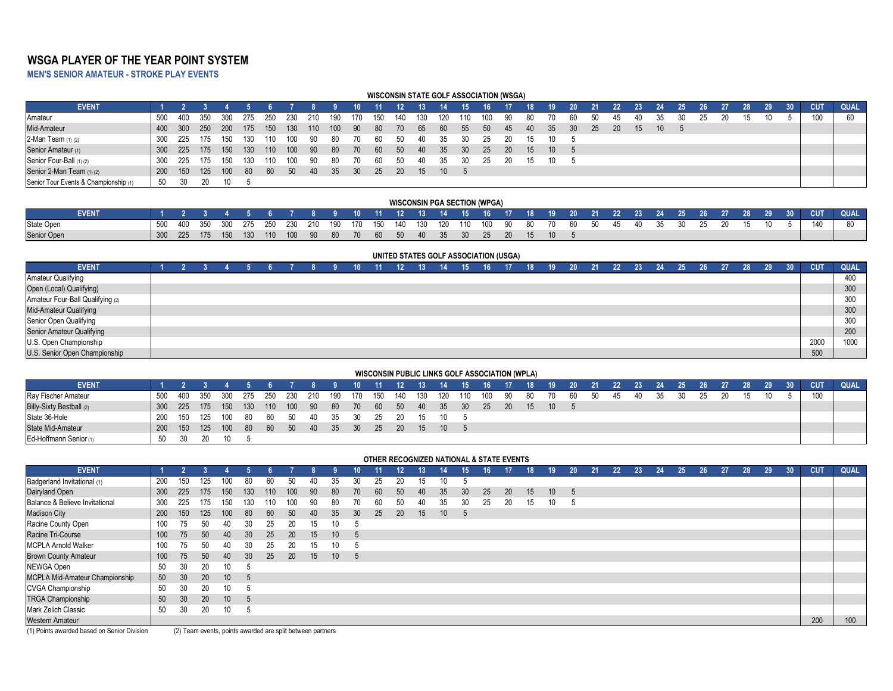# **WSGA PLAYER OF THE YEAR POINT SYSTEM**

**MEN'S SENIOR AMATEUR - STROKE PLAY EVENTS**

#### **WISCONSIN STATE GOLF ASSOCIATION (WSGA)**

| <b>EVENT</b>                          |            |                  |            |      |       |       |      |      |      |     |     |           |     |                 | 15              | 16  |           |      |      |     | 21  | 22 | 23 |    |  | 27 | 28  | 29. | <b>CUT</b> | <b>QUAL</b> |
|---------------------------------------|------------|------------------|------------|------|-------|-------|------|------|------|-----|-----|-----------|-----|-----------------|-----------------|-----|-----------|------|------|-----|-----|----|----|----|--|----|-----|-----|------------|-------------|
| Amateur                               | 500        | -400             | -350       | 300  | -275  | - 250 | -230 | 210  | 190  | 170 | 150 | 140       | 130 | 120             | 110             | 100 | -90       | - 80 |      |     | -50 |    | 40 |    |  |    | 15. | 10. |            |             |
| Mid-Amateur                           | 400        | <b>300</b>       | <b>250</b> | -200 | 175   | 150   | 130  | 110  | 100  | -90 | -80 | 70        | 65  | 60              | 55              | 50  | -45       | 40   | -35  | -30 | -25 | 20 | 15 | 10 |  |    |     |     |            |             |
| 2-Man Team (1) (2)                    | 300        | 225              | 1/5        | 150  | - 130 | -110  | -100 | - 90 | - 80 | 70. | 60  | 50        | 40  | 35              |                 | 25  | 20        |      | - 10 |     |     |    |    |    |  |    |     |     |            |             |
| Senior Amateur (1)                    | 300        | 225              | 175        | 150  | 130   | 110   | 100  | - 90 | -80  | 70  | -60 | 50        | -40 | 35              | 30 <sup>°</sup> | 25  | <b>20</b> | 15   | - 10 |     |     |    |    |    |  |    |     |     |            |             |
| Senior Four-Ball (1) (2)              | 300        | 225              | 175        | 150  | - 130 | 110   | 100  | -90  | -80  | 70  | -60 | 50        | 40  | 35              |                 | 25  | 20        | - 15 | 10   |     |     |    |    |    |  |    |     |     |            |             |
| Senior 2-Man Team (1) (2)             | <b>200</b> | 150 <sub>1</sub> | 125        | 100  | -80   | - 60  | 50   | -40  | -35  | 30  | 25  | <b>20</b> | 15  | 10 <sup>1</sup> |                 |     |           |      |      |     |     |    |    |    |  |    |     |     |            |             |
| Senior Tour Events & Championship (1) | 50         |                  |            | 10 - |       |       |      |      |      |     |     |           |     |                 |                 |     |           |      |      |     |     |    |    |    |  |    |     |     |            |             |

|                   |     |     |     |      |     |     |            |    |               |             |       | <b>WISCONSIN PGA SECTION (WPGA)</b>                  |           |  |                   |    |                |       |      |                  |       |                 |            |             |
|-------------------|-----|-----|-----|------|-----|-----|------------|----|---------------|-------------|-------|------------------------------------------------------|-----------|--|-------------------|----|----------------|-------|------|------------------|-------|-----------------|------------|-------------|
| <b>EVENT</b>      |     |     |     |      |     |     |            |    | $10 \quad 11$ | - 12 - 13 - | 14 15 |                                                      |           |  | 16 17 18 19 20 21 |    | 22 23 24 25 26 |       |      | $\sim$ 27 $\sim$ | 28 29 | 30 <sup>2</sup> | <b>CUT</b> | <b>QUAL</b> |
| <b>State Open</b> | 500 | 400 | 350 | .300 | 275 | 250 | 230        |    |               |             |       | , 210 190 170 150 140 130 120 110 100 90 80 70 60 50 |           |  |                   | 45 | 40             | 35 30 | - 25 | -20              | 15.   |                 | 140        |             |
| Senior Open       | 300 | 225 | 175 | 150  | 130 |     | 110 100 90 | 80 |               |             |       | 70 60 50 40 35 30 25                                 | <b>20</b> |  |                   |    |                |       |      |                  |       |                 |            |             |

|                                  |  |  |  |  |  |  |  |  |  |  |  |  | UNITED STATES GOLF ASSOCIATION (USGA) |  |    |     |     |                 |    |                   |    |    |  |    |              |                 |                 |            |      |
|----------------------------------|--|--|--|--|--|--|--|--|--|--|--|--|---------------------------------------|--|----|-----|-----|-----------------|----|-------------------|----|----|--|----|--------------|-----------------|-----------------|------------|------|
| <b>EVENT</b>                     |  |  |  |  |  |  |  |  |  |  |  |  |                                       |  | 15 | 16. |     | 20 <sup>°</sup> | 21 | $22 \overline{ }$ | 23 | 24 |  | 27 | $28^{\circ}$ | 29 <sup>1</sup> | 30 <sup>°</sup> | <b>CUT</b> | QUAL |
| <b>Amateur Qualifying</b>        |  |  |  |  |  |  |  |  |  |  |  |  |                                       |  |    |     |     |                 |    |                   |    |    |  |    |              |                 |                 |            | 400  |
| Open (Local) Qualifying)         |  |  |  |  |  |  |  |  |  |  |  |  |                                       |  |    |     |     |                 |    |                   |    |    |  |    |              |                 |                 |            | 300  |
| Amateur Four-Ball Qualifying (2) |  |  |  |  |  |  |  |  |  |  |  |  |                                       |  |    |     | 300 |                 |    |                   |    |    |  |    |              |                 |                 |            |      |
| Mid-Amateur Qualifying           |  |  |  |  |  |  |  |  |  |  |  |  |                                       |  |    |     |     |                 |    |                   |    |    |  |    |              |                 |                 |            | 300  |
| Senior Open Qualifying           |  |  |  |  |  |  |  |  |  |  |  |  |                                       |  |    |     |     |                 |    |                   |    |    |  |    |              |                 |                 |            | 300  |
| Senior Amateur Qualifying        |  |  |  |  |  |  |  |  |  |  |  |  |                                       |  |    |     |     |                 |    |                   |    |    |  |    |              |                 |                 |            | 200  |
| U.S. Open Championship           |  |  |  |  |  |  |  |  |  |  |  |  |                                       |  |    |     |     |                 |    |                   |    |    |  |    |              |                 |                 | 2000       | 1000 |
| U.S. Senior Open Championship    |  |  |  |  |  |  |  |  |  |  |  |  |                                       |  |    |     |     |                 |    |                   |    |    |  |    |              |                 |                 | 500        |      |

#### **WISCONSIN PUBLIC LINKS GOLF ASSOCIATION (WPLA)**

| <b>EVENT</b>             |     |      |         |     |  |                                                                     |  | 10 11 12 13 14 15 16 17 18 19 20 21 |       |                       |  |  |          |  |      |      | 1 22 23 24 25 26 |    |    | 27 28 29 30 |    | <b>CUT</b> | <b>QUAL</b> |
|--------------------------|-----|------|---------|-----|--|---------------------------------------------------------------------|--|-------------------------------------|-------|-----------------------|--|--|----------|--|------|------|------------------|----|----|-------------|----|------------|-------------|
| Rav Fischer Amateur      | 500 |      | 400 350 | 300 |  | 275 250 230 210 190 170 150                                         |  |                                     | 140   | 130 120 110 100 90 80 |  |  | 70 60 50 |  | - 45 | - 40 | 35               | 30 | 25 |             | 10 | 100        |             |
| Billy-Sixty Bestball (2) |     |      |         |     |  | l 300 225 175 150 130 110 100 90 80 70 60 50 40 35 30 25 20 15 10 5 |  |                                     |       |                       |  |  |          |  |      |      |                  |    |    |             |    |            |             |
| State 36-Hole            | 200 |      |         |     |  | 150 125 100 80 60 50 40 35 30                                       |  | 25 20 15                            |       | 10 5                  |  |  |          |  |      |      |                  |    |    |             |    |            |             |
| <b>State Mid-Amateur</b> |     |      |         |     |  | l 200 150 125 100 80 60 50 40 35 30 25                              |  |                                     | 20 15 | $10 \quad 5$          |  |  |          |  |      |      |                  |    |    |             |    |            |             |
| Ed-Hoffmann Senior (1)   | -50 | - 30 | 20.     | 10  |  |                                                                     |  |                                     |       |                       |  |  |          |  |      |      |                  |    |    |             |    |            |             |

| <b>EVENT</b>                   |                                                                                                                                  |     |     |                 |                 |     |     |    |    |    |    | OTHER RECOGNIZED NATIONAL & STATE EVENTS |    |    | 15 | 16 | 17        | 18 <sup>°</sup> | 19 | 20 <sub>2</sub> | 21 | 22 | 23 | 24 | 25 | 26 | 27 | 28 | 29 | 30 <sup>°</sup> | <b>CUT</b> | <b>QUAL</b> |
|--------------------------------|----------------------------------------------------------------------------------------------------------------------------------|-----|-----|-----------------|-----------------|-----|-----|----|----|----|----|------------------------------------------|----|----|----|----|-----------|-----------------|----|-----------------|----|----|----|----|----|----|----|----|----|-----------------|------------|-------------|
| Badgerland Invitational (1)    | 200                                                                                                                              | 150 | 25  | 100             | 80              | 60  | 50  |    | 35 | ٩Λ | 25 | 20                                       | 15 | 10 |    |    |           |                 |    |                 |    |    |    |    |    |    |    |    |    |                 |            |             |
| Dairyland Open                 | 300                                                                                                                              | 225 | 175 | 150             | 130             | 110 | 100 | 90 | 80 | 70 | 60 | 50                                       | 40 | 35 | 30 | 25 | <b>20</b> | 15              | 10 | -5              |    |    |    |    |    |    |    |    |    |                 |            |             |
| Balance & Believe Invitational | 300                                                                                                                              | 225 | 175 | 150             | 130             | 110 | 100 | 90 | 80 | 70 | 60 | 50                                       | 40 | 35 | 30 | 25 | 20        | 15              | 10 |                 |    |    |    |    |    |    |    |    |    |                 |            |             |
| <b>Madison City</b>            | 35<br>30 <sup>°</sup><br>25<br><b>20</b><br>150<br>125<br>100<br>60<br>50<br>40<br>15<br>10 <sup>°</sup><br>200<br>80<br>5<br>50 |     |     |                 |                 |     |     |    |    |    |    |                                          |    |    |    |    |           |                 |    |                 |    |    |    |    |    |    |    |    |    |                 |            |             |
| Racine County Open             | 100<br>75<br>30<br>20<br>25<br>40<br>15                                                                                          |     |     |                 |                 |     |     |    |    |    |    |                                          |    |    |    |    |           |                 |    |                 |    |    |    |    |    |    |    |    |    |                 |            |             |
| Racine Tri-Course              | 75<br>50<br>20<br>15<br>100<br>30<br>10<br>25<br>40<br>$\mathbf{b}$                                                              |     |     |                 |                 |     |     |    |    |    |    |                                          |    |    |    |    |           |                 |    |                 |    |    |    |    |    |    |    |    |    |                 |            |             |
| <b>MCPLA Arnold Walker</b>     | 100                                                                                                                              | 75  |     |                 | 30              |     |     |    |    |    |    |                                          |    |    |    |    |           |                 |    |                 |    |    |    |    |    |    |    |    |    |                 |            |             |
| <b>Brown County Amateur</b>    | 100                                                                                                                              | 75  | 50  | 40              | 30 <sup>°</sup> | 25  | 20  | 15 | 10 | -5 |    |                                          |    |    |    |    |           |                 |    |                 |    |    |    |    |    |    |    |    |    |                 |            |             |
| <b>NEWGA Open</b>              | 50                                                                                                                               | 30  | 20  | 10              | .n              |     |     |    |    |    |    |                                          |    |    |    |    |           |                 |    |                 |    |    |    |    |    |    |    |    |    |                 |            |             |
| MCPLA Mid-Amateur Championship | 50                                                                                                                               | 30  | 20  | 10              |                 |     |     |    |    |    |    |                                          |    |    |    |    |           |                 |    |                 |    |    |    |    |    |    |    |    |    |                 |            |             |
| <b>CVGA Championship</b>       | 50                                                                                                                               | 30  | 20  | 10              |                 |     |     |    |    |    |    |                                          |    |    |    |    |           |                 |    |                 |    |    |    |    |    |    |    |    |    |                 |            |             |
| <b>TRGA Championship</b>       | 50                                                                                                                               | 30  | 20  | 10 <sup>°</sup> | - 5             |     |     |    |    |    |    |                                          |    |    |    |    |           |                 |    |                 |    |    |    |    |    |    |    |    |    |                 |            |             |
| Mark Zelich Classic            | 50                                                                                                                               | 30  | 20  | 10              |                 |     |     |    |    |    |    |                                          |    |    |    |    |           |                 |    |                 |    |    |    |    |    |    |    |    |    |                 |            |             |
| Western Amateur                |                                                                                                                                  |     |     |                 |                 |     |     |    |    |    |    |                                          |    |    |    |    |           |                 |    |                 |    |    |    |    |    |    |    |    |    |                 | 200        | 100         |

(1) Points awarded based on Senior Division (2) Team events, points awarded are split between partners